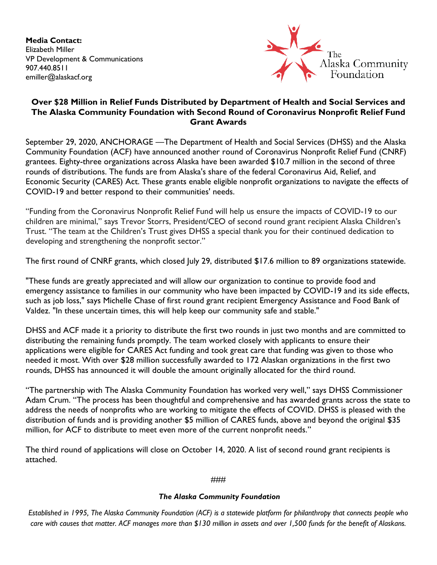**Media Contact:** Elizabeth Miller VP Development & Communications 907.440.8511 emiller@alaskacf.org



## **Over \$28 Million in Relief Funds Distributed by Department of Health and Social Services and The Alaska Community Foundation with Second Round of Coronavirus Nonprofit Relief Fund Grant Awards**

September 29, 2020, ANCHORAGE —The Department of Health and Social Services (DHSS) and the Alaska Community Foundation (ACF) have announced another round of Coronavirus Nonprofit Relief Fund (CNRF) grantees. Eighty-three organizations across Alaska have been awarded \$10.7 million in the second of three rounds of distributions. The funds are from Alaska's share of the federal Coronavirus Aid, Relief, and Economic Security (CARES) Act. These grants enable eligible nonprofit organizations to navigate the effects of COVID-19 and better respond to their communities' needs.

"Funding from the Coronavirus Nonprofit Relief Fund will help us ensure the impacts of COVID-19 to our children are minimal," says Trevor Storrs, President/CEO of second round grant recipient Alaska Children's Trust. "The team at the Children's Trust gives DHSS a special thank you for their continued dedication to developing and strengthening the nonprofit sector."

The first round of CNRF grants, which closed July 29, distributed \$17.6 million to 89 organizations statewide.

"These funds are greatly appreciated and will allow our organization to continue to provide food and emergency assistance to families in our community who have been impacted by COVID-19 and its side effects, such as job loss," says Michelle Chase of first round grant recipient Emergency Assistance and Food Bank of Valdez. "In these uncertain times, this will help keep our community safe and stable."

DHSS and ACF made it a priority to distribute the first two rounds in just two months and are committed to distributing the remaining funds promptly. The team worked closely with applicants to ensure their applications were eligible for CARES Act funding and took great care that funding was given to those who needed it most. With over \$28 million successfully awarded to 172 Alaskan organizations in the first two rounds, DHSS has announced it will double the amount originally allocated for the third round.

"The partnership with The Alaska Community Foundation has worked very well," says DHSS Commissioner Adam Crum. "The process has been thoughtful and comprehensive and has awarded grants across the state to address the needs of nonprofits who are working to mitigate the effects of COVID. DHSS is pleased with the distribution of funds and is providing another \$5 million of CARES funds, above and beyond the original \$35 million, for ACF to distribute to meet even more of the current nonprofit needs."

The third round of applications will close on October 14, 2020. A list of second round grant recipients is attached.

## ###

## *The Alaska Community Foundation*

*Established in 1995, The Alaska Community Foundation (ACF) is a statewide platform for philanthropy that connects people who care with causes that matter. ACF manages more than \$130 million in assets and over 1,500 funds for the benefit of Alaskans.*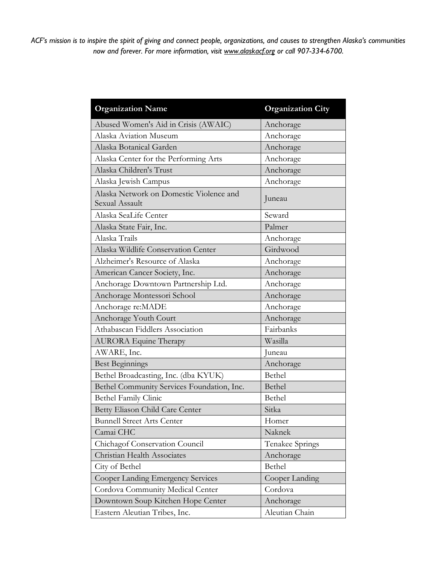*ACF's mission is to inspire the spirit of giving and connect people, organizations, and causes to strengthen Alaska's communities now and forever. For more information, visit www.alaskacf.org or call 907-334-6700.*

| <b>Organization Name</b>                                  | <b>Organization City</b> |
|-----------------------------------------------------------|--------------------------|
| Abused Women's Aid in Crisis (AWAIC)                      | Anchorage                |
| Alaska Aviation Museum                                    | Anchorage                |
| Alaska Botanical Garden                                   | Anchorage                |
| Alaska Center for the Performing Arts                     | Anchorage                |
| Alaska Children's Trust                                   | Anchorage                |
| Alaska Jewish Campus                                      | Anchorage                |
| Alaska Network on Domestic Violence and<br>Sexual Assault | Juneau                   |
| Alaska SeaLife Center                                     | Seward                   |
| Alaska State Fair, Inc.                                   | Palmer                   |
| Alaska Trails                                             | Anchorage                |
| Alaska Wildlife Conservation Center                       | Girdwood                 |
| Alzheimer's Resource of Alaska                            | Anchorage                |
| American Cancer Society, Inc.                             | Anchorage                |
| Anchorage Downtown Partnership Ltd.                       | Anchorage                |
| Anchorage Montessori School                               | Anchorage                |
| Anchorage re:MADE                                         | Anchorage                |
| Anchorage Youth Court                                     | Anchorage                |
| Athabascan Fiddlers Association                           | Fairbanks                |
| <b>AURORA</b> Equine Therapy                              | Wasilla                  |
| AWARE, Inc.                                               | Juneau                   |
| <b>Best Beginnings</b>                                    | Anchorage                |
| Bethel Broadcasting, Inc. (dba KYUK)                      | Bethel                   |
| Bethel Community Services Foundation, Inc.                | Bethel                   |
| <b>Bethel Family Clinic</b>                               | Bethel                   |
| Betty Eliason Child Care Center                           | Sitka                    |
| <b>Bunnell Street Arts Center</b>                         | Homer                    |
| Camai CHC                                                 | Naknek                   |
| Chichagof Conservation Council                            | Tenakee Springs          |
| Christian Health Associates                               | Anchorage                |
| City of Bethel                                            | Bethel                   |
| Cooper Landing Emergency Services                         | Cooper Landing           |
| Cordova Community Medical Center                          | Cordova                  |
| Downtown Soup Kitchen Hope Center                         | Anchorage                |
| Eastern Aleutian Tribes, Inc.                             | Aleutian Chain           |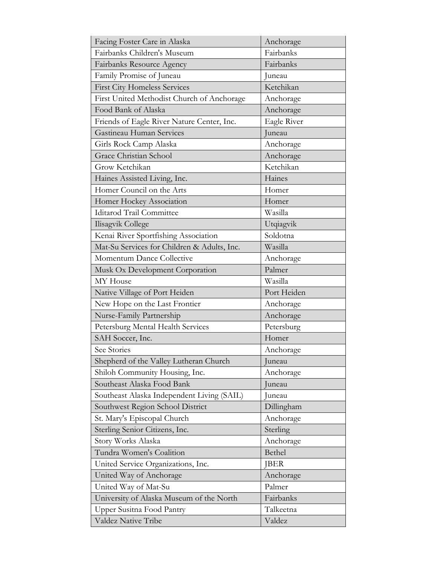| Facing Foster Care in Alaska                | Anchorage   |
|---------------------------------------------|-------------|
| Fairbanks Children's Museum                 | Fairbanks   |
| Fairbanks Resource Agency                   | Fairbanks   |
| Family Promise of Juneau                    | Juneau      |
| <b>First City Homeless Services</b>         | Ketchikan   |
| First United Methodist Church of Anchorage  | Anchorage   |
| Food Bank of Alaska                         | Anchorage   |
| Friends of Eagle River Nature Center, Inc.  | Eagle River |
| Gastineau Human Services                    | Juneau      |
| Girls Rock Camp Alaska                      | Anchorage   |
| Grace Christian School                      | Anchorage   |
| Grow Ketchikan                              | Ketchikan   |
| Haines Assisted Living, Inc.                | Haines      |
| Homer Council on the Arts                   | Homer       |
| Homer Hockey Association                    | Homer       |
| <b>Iditarod Trail Committee</b>             | Wasilla     |
| Ilisagvik College                           | Utqiagvik   |
| Kenai River Sportfishing Association        | Soldotna    |
| Mat-Su Services for Children & Adults, Inc. | Wasilla     |
| Momentum Dance Collective                   | Anchorage   |
| Musk Ox Development Corporation             | Palmer      |
| MY House                                    | Wasilla     |
| Native Village of Port Heiden               | Port Heiden |
| New Hope on the Last Frontier               | Anchorage   |
| Nurse-Family Partnership                    | Anchorage   |
| Petersburg Mental Health Services           | Petersburg  |
| SAH Soccer, Inc.                            | Homer       |
| See Stories                                 | Anchorage   |
| Shepherd of the Valley Lutheran Church      | uneau       |
| Shiloh Community Housing, Inc.              | Anchorage   |
| Southeast Alaska Food Bank                  | Juneau      |
| Southeast Alaska Independent Living (SAIL)  | Juneau      |
| Southwest Region School District            | Dillingham  |
| St. Mary's Episcopal Church                 | Anchorage   |
| Sterling Senior Citizens, Inc.              | Sterling    |
| Story Works Alaska                          | Anchorage   |
| Tundra Women's Coalition                    | Bethel      |
| United Service Organizations, Inc.          | <b>JBER</b> |
| United Way of Anchorage                     | Anchorage   |
| United Way of Mat-Su                        | Palmer      |
| University of Alaska Museum of the North    | Fairbanks   |
| <b>Upper Susitna Food Pantry</b>            | Talkeetna   |
| Valdez Native Tribe                         | Valdez      |